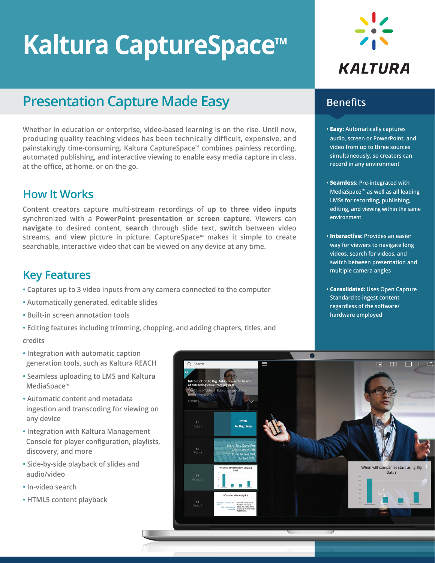# **Kaltura CaptureSpace™**

# **Presentation Capture Made Easy**

**Whether in education or enterprise, video-based learning is on the rise. Until now, producing quality teaching videos has been technically difficult, expensive, and**  painstakingly time-consuming. Kaltura CaptureSpace™ combines painless recording, **automated publishing, and interactive viewing to enable easy media capture in class, at the office, at home, or on-the-go.**

## **How It Works**

**Content creators capture multi-stream recordings of up to three video inputs synchronized with a PowerPoint presentation or screen capture. Viewers can navigate to desired content, search through slide text, switch between video**  streams, and **view** picture in picture. CaptureSpace™ makes it simple to create **searchable, interactive video that can be viewed on any device at any time.**

## **Key Features**

- **• Captures up to 3 video inputs from any camera connected to the computer**
- **• Automatically generated, editable slides**
- **• Built-in screen annotation tools**
- **• Editing features including trimming, chopping, and adding chapters, titles, and**

#### **credits**

- **• Integration with automatic caption generation tools, such as Kaltura REACH**
- **• Seamless uploading to LMS and Kaltura MediaSpace™**
- **• Automatic content and metadata ingestion and transcoding for viewing on any device**
- **• Integration with Kaltura Management Console for player configuration, playlists, discovery, and more**
- **• Side-by-side playback of slides and audio/video**
- **• In-video search**
- **• HTML5 content playback**



### **Benefits**

- **• Easy: Automatically captures audio, screen or PowerPoint, and video from up to three sources simultaneously, so creators can record in any environment**
- **• Seamless: Pre-integrated with MediaSpaceTM as well as all leading LMSs for recording, publishing, editing, and viewing within the same environment**
- **• Interactive: Provides an easier way for viewers to navigate long videos, search for videos, and switch between presentation and multiple camera angles**
- **• Consolidated: Uses Open Capture Standard to ingest content regardless of the software/ hardware employed**